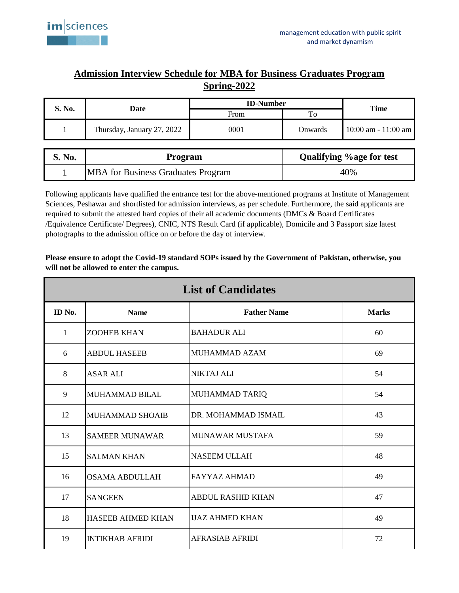

## **Admission Interview Schedule for MBA for Business Graduates Program Spring-2022**

| S. No.                                                | Date                                      | <b>ID-Number</b> |         |                        |
|-------------------------------------------------------|-------------------------------------------|------------------|---------|------------------------|
|                                                       |                                           | From             | To      | <b>Time</b>            |
|                                                       | Thursday, January 27, 2022                | 0001             | Onwards | $10:00$ am $-11:00$ am |
| <b>Qualifying % age for test</b><br>S. No.<br>Program |                                           |                  |         |                        |
|                                                       |                                           |                  |         |                        |
|                                                       | <b>MBA</b> for Business Graduates Program |                  | 40%     |                        |

Following applicants have qualified the entrance test for the above-mentioned programs at Institute of Management Sciences, Peshawar and shortlisted for admission interviews, as per schedule. Furthermore, the said applicants are required to submit the attested hard copies of their all academic documents (DMCs & Board Certificates /Equivalence Certificate/ Degrees), CNIC, NTS Result Card (if applicable), Domicile and 3 Passport size latest photographs to the admission office on or before the day of interview.

| <b>List of Candidates</b> |                          |                          |              |  |  |  |
|---------------------------|--------------------------|--------------------------|--------------|--|--|--|
| ID No.                    | <b>Name</b>              | <b>Father Name</b>       | <b>Marks</b> |  |  |  |
| $\mathbf{1}$              | <b>ZOOHEB KHAN</b>       | BAHADUR ALI              | 60           |  |  |  |
| 6                         | <b>ABDUL HASEEB</b>      | MUHAMMAD AZAM            | 69           |  |  |  |
| 8                         | <b>ASAR ALI</b>          | NIKTAJ ALI               | 54           |  |  |  |
| 9                         | <b>MUHAMMAD BILAL</b>    | MUHAMMAD TARIQ           | 54           |  |  |  |
| 12                        | <b>MUHAMMAD SHOAIB</b>   | DR. MOHAMMAD ISMAIL      | 43           |  |  |  |
| 13                        | <b>SAMEER MUNAWAR</b>    | MUNAWAR MUSTAFA          | 59           |  |  |  |
| 15                        | <b>SALMAN KHAN</b>       | <b>NASEEM ULLAH</b>      | 48           |  |  |  |
| 16                        | <b>OSAMA ABDULLAH</b>    | <b>FAYYAZ AHMAD</b>      | 49           |  |  |  |
| 17                        | <b>SANGEEN</b>           | <b>ABDUL RASHID KHAN</b> | 47           |  |  |  |
| 18                        | <b>HASEEB AHMED KHAN</b> | <b>IJAZ AHMED KHAN</b>   | 49           |  |  |  |
| 19                        | <b>INTIKHAB AFRIDI</b>   | AFRASIAB AFRIDI          | 72           |  |  |  |

**Please ensure to adopt the Covid-19 standard SOPs issued by the Government of Pakistan, otherwise, you will not be allowed to enter the campus.**